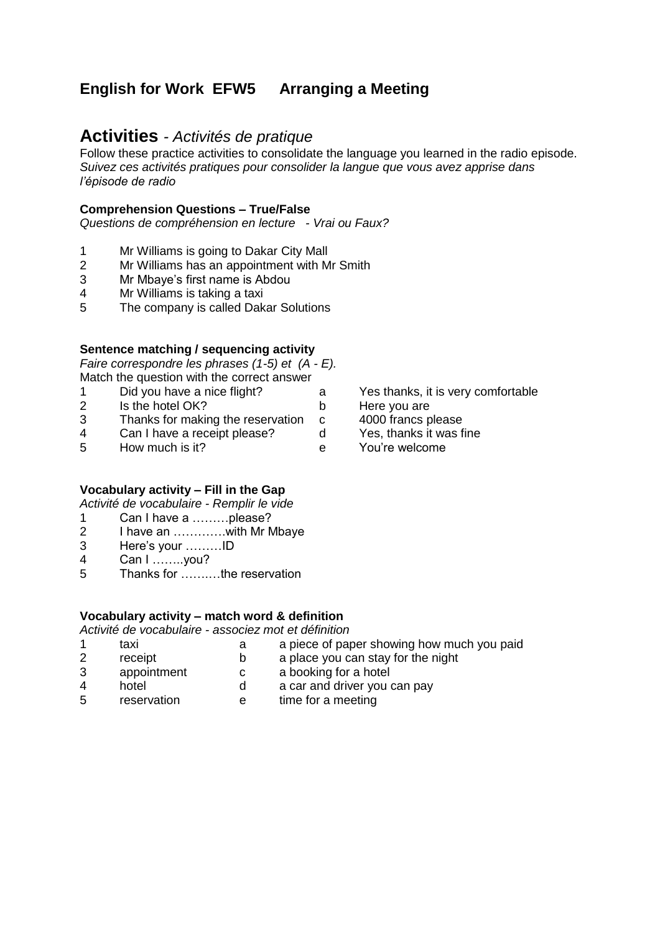# **English for Work EFW5 Arranging a Meeting**

## **Activities** *- Activités de pratique*

Follow these practice activities to consolidate the language you learned in the radio episode. *Suivez ces activités pratiques pour consolider la langue que vous avez apprise dans l'épisode de radio*

### **Comprehension Questions – True/False**

*Questions de compréhension en lecture - Vrai ou Faux?*

- 1 Mr Williams is going to Dakar City Mall
- 2 Mr Williams has an appointment with Mr Smith
- 3 Mr Mbaye's first name is Abdou
- 4 Mr Williams is taking a taxi
- 5 The company is called Dakar Solutions

### **Sentence matching / sequencing activity**

*Faire correspondre les phrases (1-5) et (A - E).* Match the question with the correct answer

- 1 Did you have a nice flight? a Yes thanks, it is very comfortable
- 2 Is the hotel OK? b Here you are<br>3 Thanks for making the reservation c 4000 francs p
- Thanks for making the reservation c 4000 francs please<br>Can I have a receipt please? d Yes. thanks it was fine
- 4 Can I have a receipt please? d
- 5 How much is it? e You're welcome

### **Vocabulary activity – Fill in the Gap**

*Activité de vocabulaire - Remplir le vide*

- 1 Can I have a ………please?
- 2 I have an ………….with Mr Mbaye
- 3 Here's your ………ID
- 4 Can I ……..you?
- 5 Thanks for …….…the reservation

### **Vocabulary activity – match word & definition**

*Activité de vocabulaire - associez mot et définition*

- 1 taxi a a piece of paper showing how much you paid 2 receipt b a place you can stay for the night
- 3 appointment c a booking for a hotel
	-
- 4 hotel d a car and driver you can pay
- 5 reservation e time for a meeting
	-
- 
- 
- 
- 
-